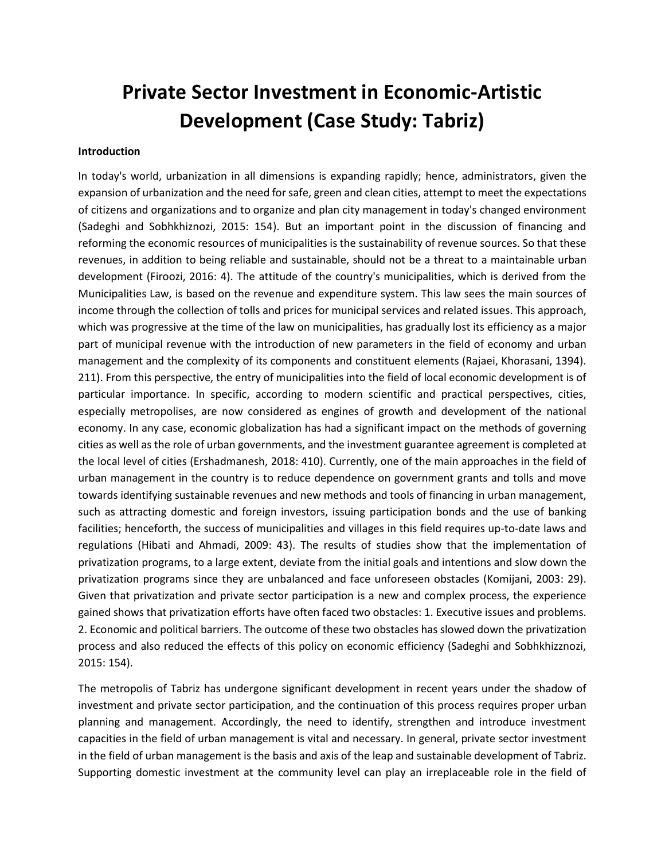# **Private Sector Investment in Economic-Artistic Development (Case Study: Tabriz)**

#### **Introduction**

In today's world, urbanization in all dimensions is expanding rapidly; hence, administrators, given the expansion of urbanization and the need for safe, green and clean cities, attempt to meet the expectations of citizens and organizations and to organize and plan city management in today's changed environment (Sadeghi and Sobhkhiznozi, 2015: 154). But an important point in the discussion of financing and reforming the economic resources of municipalities is the sustainability of revenue sources. So that these revenues, in addition to being reliable and sustainable, should not be a threat to a maintainable urban development (Firoozi, 2016: 4). The attitude of the country's municipalities, which is derived from the Municipalities Law, is based on the revenue and expenditure system. This law sees the main sources of income through the collection of tolls and prices for municipal services and related issues. This approach, which was progressive at the time of the law on municipalities, has gradually lost its efficiency as a major part of municipal revenue with the introduction of new parameters in the field of economy and urban management and the complexity of its components and constituent elements (Rajaei, Khorasani, 1394). 211). From this perspective, the entry of municipalities into the field of local economic development is of particular importance. In specific, according to modern scientific and practical perspectives, cities, especially metropolises, are now considered as engines of growth and development of the national economy. In any case, economic globalization has had a significant impact on the methods of governing cities as well as the role of urban governments, and the investment guarantee agreement is completed at the local level of cities (Ershadmanesh, 2018: 410). Currently, one of the main approaches in the field of urban management in the country is to reduce dependence on government grants and tolls and move towards identifying sustainable revenues and new methods and tools of financing in urban management, such as attracting domestic and foreign investors, issuing participation bonds and the use of banking facilities; henceforth, the success of municipalities and villages in this field requires up-to-date laws and regulations (Hibati and Ahmadi, 2009: 43). The results of studies show that the implementation of privatization programs, to a large extent, deviate from the initial goals and intentions and slow down the privatization programs since they are unbalanced and face unforeseen obstacles (Komijani, 2003: 29). Given that privatization and private sector participation is a new and complex process, the experience gained shows that privatization efforts have often faced two obstacles: 1. Executive issues and problems. 2. Economic and political barriers. The outcome of these two obstacles has slowed down the privatization process and also reduced the effects of this policy on economic efficiency (Sadeghi and Sobhkhizznozi, 2015: 154).

The metropolis of Tabriz has undergone significant development in recent years under the shadow of investment and private sector participation, and the continuation of this process requires proper urban planning and management. Accordingly, the need to identify, strengthen and introduce investment capacities in the field of urban management is vital and necessary. In general, private sector investment in the field of urban management is the basis and axis of the leap and sustainable development of Tabriz. Supporting domestic investment at the community level can play an irreplaceable role in the field of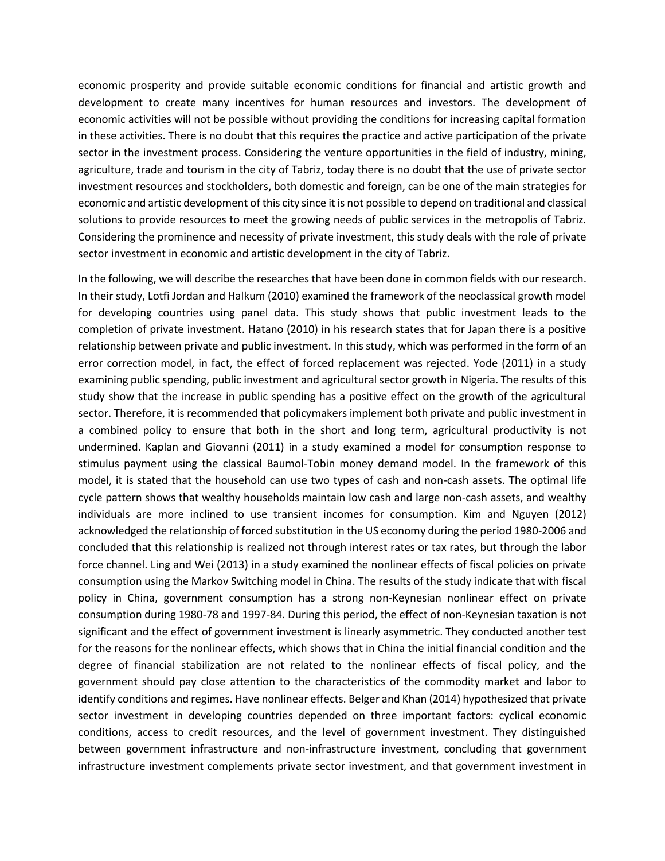economic prosperity and provide suitable economic conditions for financial and artistic growth and development to create many incentives for human resources and investors. The development of economic activities will not be possible without providing the conditions for increasing capital formation in these activities. There is no doubt that this requires the practice and active participation of the private sector in the investment process. Considering the venture opportunities in the field of industry, mining, agriculture, trade and tourism in the city of Tabriz, today there is no doubt that the use of private sector investment resources and stockholders, both domestic and foreign, can be one of the main strategies for economic and artistic development of this city since it is not possible to depend on traditional and classical solutions to provide resources to meet the growing needs of public services in the metropolis of Tabriz. Considering the prominence and necessity of private investment, this study deals with the role of private sector investment in economic and artistic development in the city of Tabriz.

In the following, we will describe the researches that have been done in common fields with our research. In their study, Lotfi Jordan and Halkum (2010) examined the framework of the neoclassical growth model for developing countries using panel data. This study shows that public investment leads to the completion of private investment. Hatano (2010) in his research states that for Japan there is a positive relationship between private and public investment. In this study, which was performed in the form of an error correction model, in fact, the effect of forced replacement was rejected. Yode (2011) in a study examining public spending, public investment and agricultural sector growth in Nigeria. The results of this study show that the increase in public spending has a positive effect on the growth of the agricultural sector. Therefore, it is recommended that policymakers implement both private and public investment in a combined policy to ensure that both in the short and long term, agricultural productivity is not undermined. Kaplan and Giovanni (2011) in a study examined a model for consumption response to stimulus payment using the classical Baumol-Tobin money demand model. In the framework of this model, it is stated that the household can use two types of cash and non-cash assets. The optimal life cycle pattern shows that wealthy households maintain low cash and large non-cash assets, and wealthy individuals are more inclined to use transient incomes for consumption. Kim and Nguyen (2012) acknowledged the relationship of forced substitution in the US economy during the period 1980-2006 and concluded that this relationship is realized not through interest rates or tax rates, but through the labor force channel. Ling and Wei (2013) in a study examined the nonlinear effects of fiscal policies on private consumption using the Markov Switching model in China. The results of the study indicate that with fiscal policy in China, government consumption has a strong non-Keynesian nonlinear effect on private consumption during 1980-78 and 1997-84. During this period, the effect of non-Keynesian taxation is not significant and the effect of government investment is linearly asymmetric. They conducted another test for the reasons for the nonlinear effects, which shows that in China the initial financial condition and the degree of financial stabilization are not related to the nonlinear effects of fiscal policy, and the government should pay close attention to the characteristics of the commodity market and labor to identify conditions and regimes. Have nonlinear effects. Belger and Khan (2014) hypothesized that private sector investment in developing countries depended on three important factors: cyclical economic conditions, access to credit resources, and the level of government investment. They distinguished between government infrastructure and non-infrastructure investment, concluding that government infrastructure investment complements private sector investment, and that government investment in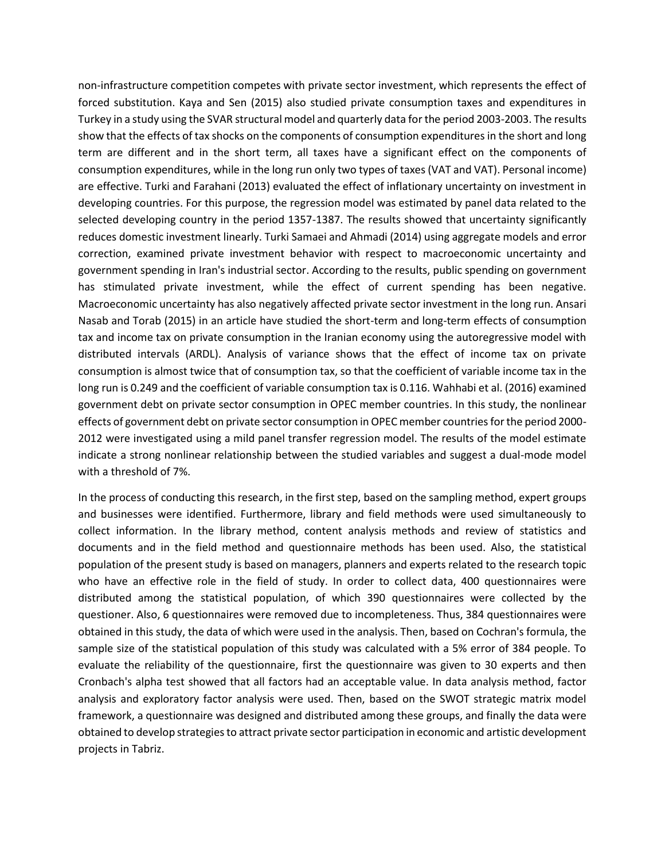non-infrastructure competition competes with private sector investment, which represents the effect of forced substitution. Kaya and Sen (2015) also studied private consumption taxes and expenditures in Turkey in a study using the SVAR structural model and quarterly data for the period 2003-2003. The results show that the effects of tax shocks on the components of consumption expenditures in the short and long term are different and in the short term, all taxes have a significant effect on the components of consumption expenditures, while in the long run only two types of taxes (VAT and VAT). Personal income) are effective. Turki and Farahani (2013) evaluated the effect of inflationary uncertainty on investment in developing countries. For this purpose, the regression model was estimated by panel data related to the selected developing country in the period 1357-1387. The results showed that uncertainty significantly reduces domestic investment linearly. Turki Samaei and Ahmadi (2014) using aggregate models and error correction, examined private investment behavior with respect to macroeconomic uncertainty and government spending in Iran's industrial sector. According to the results, public spending on government has stimulated private investment, while the effect of current spending has been negative. Macroeconomic uncertainty has also negatively affected private sector investment in the long run. Ansari Nasab and Torab (2015) in an article have studied the short-term and long-term effects of consumption tax and income tax on private consumption in the Iranian economy using the autoregressive model with distributed intervals (ARDL). Analysis of variance shows that the effect of income tax on private consumption is almost twice that of consumption tax, so that the coefficient of variable income tax in the long run is 0.249 and the coefficient of variable consumption tax is 0.116. Wahhabi et al. (2016) examined government debt on private sector consumption in OPEC member countries. In this study, the nonlinear effects of government debt on private sector consumption in OPEC member countries for the period 2000- 2012 were investigated using a mild panel transfer regression model. The results of the model estimate indicate a strong nonlinear relationship between the studied variables and suggest a dual-mode model with a threshold of 7%.

In the process of conducting this research, in the first step, based on the sampling method, expert groups and businesses were identified. Furthermore, library and field methods were used simultaneously to collect information. In the library method, content analysis methods and review of statistics and documents and in the field method and questionnaire methods has been used. Also, the statistical population of the present study is based on managers, planners and experts related to the research topic who have an effective role in the field of study. In order to collect data, 400 questionnaires were distributed among the statistical population, of which 390 questionnaires were collected by the questioner. Also, 6 questionnaires were removed due to incompleteness. Thus, 384 questionnaires were obtained in this study, the data of which were used in the analysis. Then, based on Cochran's formula, the sample size of the statistical population of this study was calculated with a 5% error of 384 people. To evaluate the reliability of the questionnaire, first the questionnaire was given to 30 experts and then Cronbach's alpha test showed that all factors had an acceptable value. In data analysis method, factor analysis and exploratory factor analysis were used. Then, based on the SWOT strategic matrix model framework, a questionnaire was designed and distributed among these groups, and finally the data were obtained to develop strategies to attract private sector participation in economic and artistic development projects in Tabriz.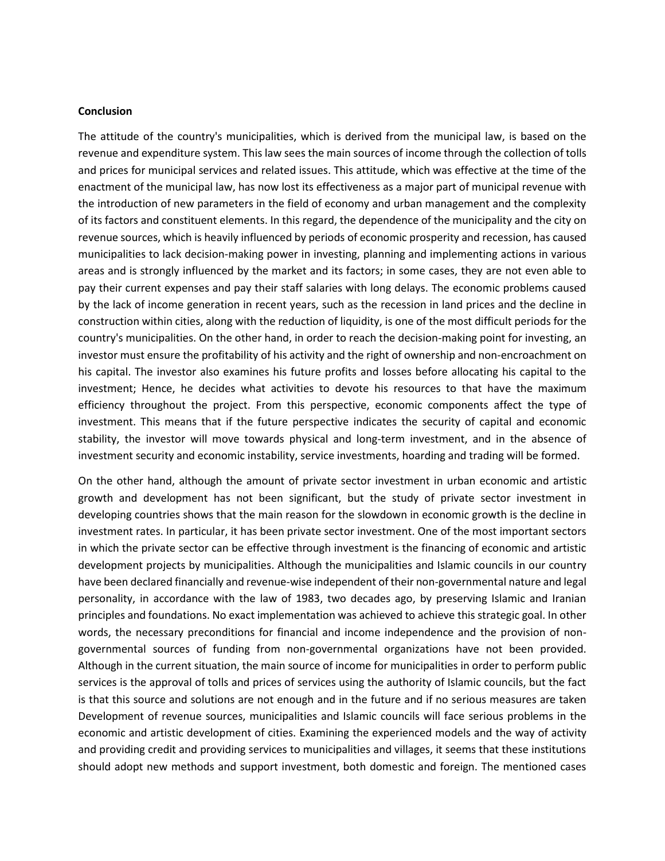#### **Conclusion**

The attitude of the country's municipalities, which is derived from the municipal law, is based on the revenue and expenditure system. This law sees the main sources of income through the collection of tolls and prices for municipal services and related issues. This attitude, which was effective at the time of the enactment of the municipal law, has now lost its effectiveness as a major part of municipal revenue with the introduction of new parameters in the field of economy and urban management and the complexity of its factors and constituent elements. In this regard, the dependence of the municipality and the city on revenue sources, which is heavily influenced by periods of economic prosperity and recession, has caused municipalities to lack decision-making power in investing, planning and implementing actions in various areas and is strongly influenced by the market and its factors; in some cases, they are not even able to pay their current expenses and pay their staff salaries with long delays. The economic problems caused by the lack of income generation in recent years, such as the recession in land prices and the decline in construction within cities, along with the reduction of liquidity, is one of the most difficult periods for the country's municipalities. On the other hand, in order to reach the decision-making point for investing, an investor must ensure the profitability of his activity and the right of ownership and non-encroachment on his capital. The investor also examines his future profits and losses before allocating his capital to the investment; Hence, he decides what activities to devote his resources to that have the maximum efficiency throughout the project. From this perspective, economic components affect the type of investment. This means that if the future perspective indicates the security of capital and economic stability, the investor will move towards physical and long-term investment, and in the absence of investment security and economic instability, service investments, hoarding and trading will be formed.

On the other hand, although the amount of private sector investment in urban economic and artistic growth and development has not been significant, but the study of private sector investment in developing countries shows that the main reason for the slowdown in economic growth is the decline in investment rates. In particular, it has been private sector investment. One of the most important sectors in which the private sector can be effective through investment is the financing of economic and artistic development projects by municipalities. Although the municipalities and Islamic councils in our country have been declared financially and revenue-wise independent of their non-governmental nature and legal personality, in accordance with the law of 1983, two decades ago, by preserving Islamic and Iranian principles and foundations. No exact implementation was achieved to achieve this strategic goal. In other words, the necessary preconditions for financial and income independence and the provision of nongovernmental sources of funding from non-governmental organizations have not been provided. Although in the current situation, the main source of income for municipalities in order to perform public services is the approval of tolls and prices of services using the authority of Islamic councils, but the fact is that this source and solutions are not enough and in the future and if no serious measures are taken Development of revenue sources, municipalities and Islamic councils will face serious problems in the economic and artistic development of cities. Examining the experienced models and the way of activity and providing credit and providing services to municipalities and villages, it seems that these institutions should adopt new methods and support investment, both domestic and foreign. The mentioned cases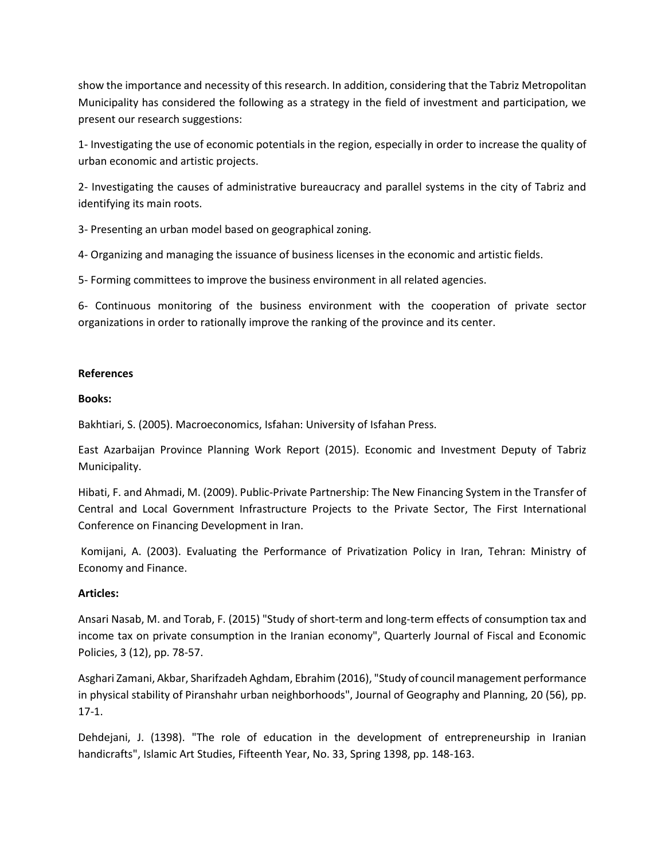show the importance and necessity of this research. In addition, considering that the Tabriz Metropolitan Municipality has considered the following as a strategy in the field of investment and participation, we present our research suggestions:

1- Investigating the use of economic potentials in the region, especially in order to increase the quality of urban economic and artistic projects.

2- Investigating the causes of administrative bureaucracy and parallel systems in the city of Tabriz and identifying its main roots.

3- Presenting an urban model based on geographical zoning.

4- Organizing and managing the issuance of business licenses in the economic and artistic fields.

5- Forming committees to improve the business environment in all related agencies.

6- Continuous monitoring of the business environment with the cooperation of private sector organizations in order to rationally improve the ranking of the province and its center.

## **References**

#### **Books:**

Bakhtiari, S. (2005). Macroeconomics, Isfahan: University of Isfahan Press.

East Azarbaijan Province Planning Work Report (2015). Economic and Investment Deputy of Tabriz Municipality.

Hibati, F. and Ahmadi, M. (2009). Public-Private Partnership: The New Financing System in the Transfer of Central and Local Government Infrastructure Projects to the Private Sector, The First International Conference on Financing Development in Iran.

Komijani, A. (2003). Evaluating the Performance of Privatization Policy in Iran, Tehran: Ministry of Economy and Finance.

## **Articles:**

Ansari Nasab, M. and Torab, F. (2015) "Study of short-term and long-term effects of consumption tax and income tax on private consumption in the Iranian economy", Quarterly Journal of Fiscal and Economic Policies, 3 (12), pp. 78-57.

Asghari Zamani, Akbar, Sharifzadeh Aghdam, Ebrahim (2016), "Study of council management performance in physical stability of Piranshahr urban neighborhoods", Journal of Geography and Planning, 20 (56), pp. 17-1.

Dehdejani, J. (1398). "The role of education in the development of entrepreneurship in Iranian handicrafts", Islamic Art Studies, Fifteenth Year, No. 33, Spring 1398, pp. 148-163.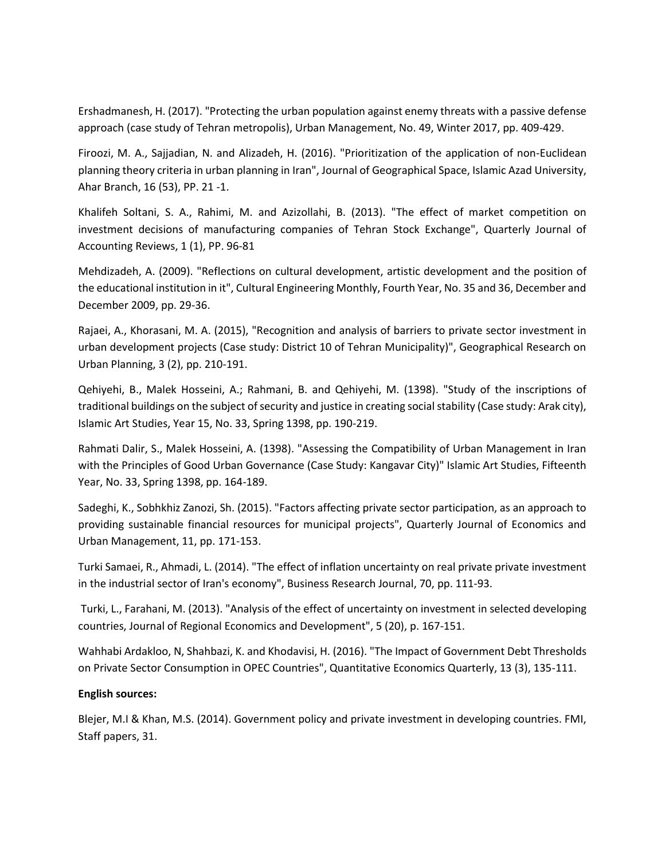Ershadmanesh, H. (2017). "Protecting the urban population against enemy threats with a passive defense approach (case study of Tehran metropolis), Urban Management, No. 49, Winter 2017, pp. 409-429.

Firoozi, M. A., Sajjadian, N. and Alizadeh, H. (2016). "Prioritization of the application of non-Euclidean planning theory criteria in urban planning in Iran", Journal of Geographical Space, Islamic Azad University, Ahar Branch, 16 (53), PP. 21 -1.

Khalifeh Soltani, S. A., Rahimi, M. and Azizollahi, B. (2013). "The effect of market competition on investment decisions of manufacturing companies of Tehran Stock Exchange", Quarterly Journal of Accounting Reviews, 1 (1), PP. 96-81

Mehdizadeh, A. (2009). "Reflections on cultural development, artistic development and the position of the educational institution in it", Cultural Engineering Monthly, Fourth Year, No. 35 and 36, December and December 2009, pp. 29-36.

Rajaei, A., Khorasani, M. A. (2015), "Recognition and analysis of barriers to private sector investment in urban development projects (Case study: District 10 of Tehran Municipality)", Geographical Research on Urban Planning, 3 (2), pp. 210-191.

Qehiyehi, B., Malek Hosseini, A.; Rahmani, B. and Qehiyehi, M. (1398). "Study of the inscriptions of traditional buildings on the subject of security and justice in creating social stability (Case study: Arak city), Islamic Art Studies, Year 15, No. 33, Spring 1398, pp. 190-219.

Rahmati Dalir, S., Malek Hosseini, A. (1398). "Assessing the Compatibility of Urban Management in Iran with the Principles of Good Urban Governance (Case Study: Kangavar City)" Islamic Art Studies, Fifteenth Year, No. 33, Spring 1398, pp. 164-189.

Sadeghi, K., Sobhkhiz Zanozi, Sh. (2015). "Factors affecting private sector participation, as an approach to providing sustainable financial resources for municipal projects", Quarterly Journal of Economics and Urban Management, 11, pp. 171-153.

Turki Samaei, R., Ahmadi, L. (2014). "The effect of inflation uncertainty on real private private investment in the industrial sector of Iran's economy", Business Research Journal, 70, pp. 111-93.

Turki, L., Farahani, M. (2013). "Analysis of the effect of uncertainty on investment in selected developing countries, Journal of Regional Economics and Development", 5 (20), p. 167-151.

Wahhabi Ardakloo, N, Shahbazi, K. and Khodavisi, H. (2016). "The Impact of Government Debt Thresholds on Private Sector Consumption in OPEC Countries", Quantitative Economics Quarterly, 13 (3), 135-111.

## **English sources:**

Blejer, M.I & Khan, M.S. (2014). Government policy and private investment in developing countries. FMI, Staff papers, 31.